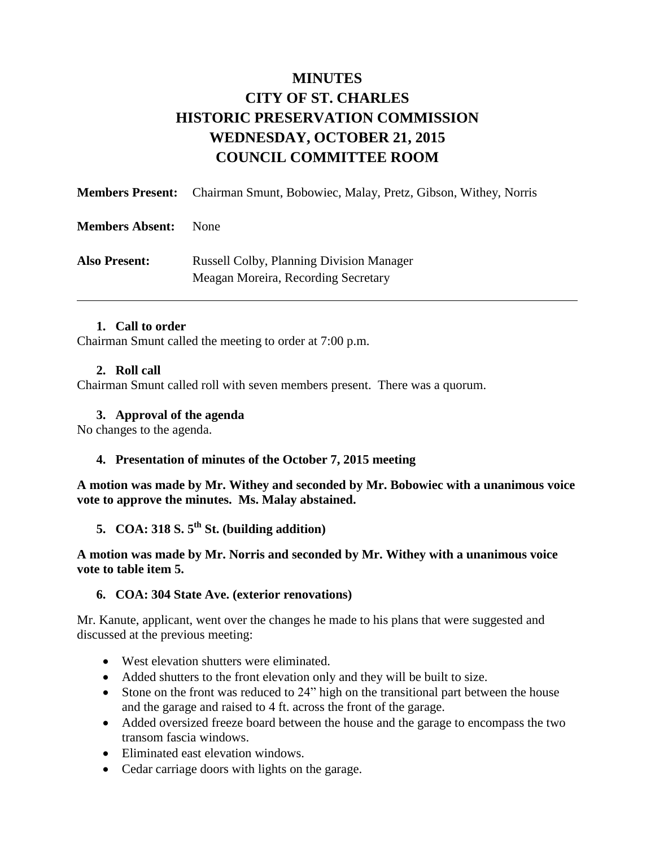# **MINUTES CITY OF ST. CHARLES HISTORIC PRESERVATION COMMISSION WEDNESDAY, OCTOBER 21, 2015 COUNCIL COMMITTEE ROOM**

|                        | <b>Members Present:</b> Chairman Smunt, Bobowiec, Malay, Pretz, Gibson, Withey, Norris |
|------------------------|----------------------------------------------------------------------------------------|
| <b>Members Absent:</b> | <b>None</b>                                                                            |
| <b>Also Present:</b>   | <b>Russell Colby, Planning Division Manager</b><br>Meagan Moreira, Recording Secretary |

#### **1. Call to order**

Chairman Smunt called the meeting to order at 7:00 p.m.

#### **2. Roll call**

Chairman Smunt called roll with seven members present. There was a quorum.

#### **3. Approval of the agenda**

No changes to the agenda.

## **4. Presentation of minutes of the October 7, 2015 meeting**

**A motion was made by Mr. Withey and seconded by Mr. Bobowiec with a unanimous voice vote to approve the minutes. Ms. Malay abstained.**

**5. COA: 318 S. 5th St. (building addition)**

#### **A motion was made by Mr. Norris and seconded by Mr. Withey with a unanimous voice vote to table item 5.**

#### **6. COA: 304 State Ave. (exterior renovations)**

Mr. Kanute, applicant, went over the changes he made to his plans that were suggested and discussed at the previous meeting:

- West elevation shutters were eliminated.
- Added shutters to the front elevation only and they will be built to size.
- Stone on the front was reduced to 24" high on the transitional part between the house and the garage and raised to 4 ft. across the front of the garage.
- Added oversized freeze board between the house and the garage to encompass the two transom fascia windows.
- Eliminated east elevation windows.
- Cedar carriage doors with lights on the garage.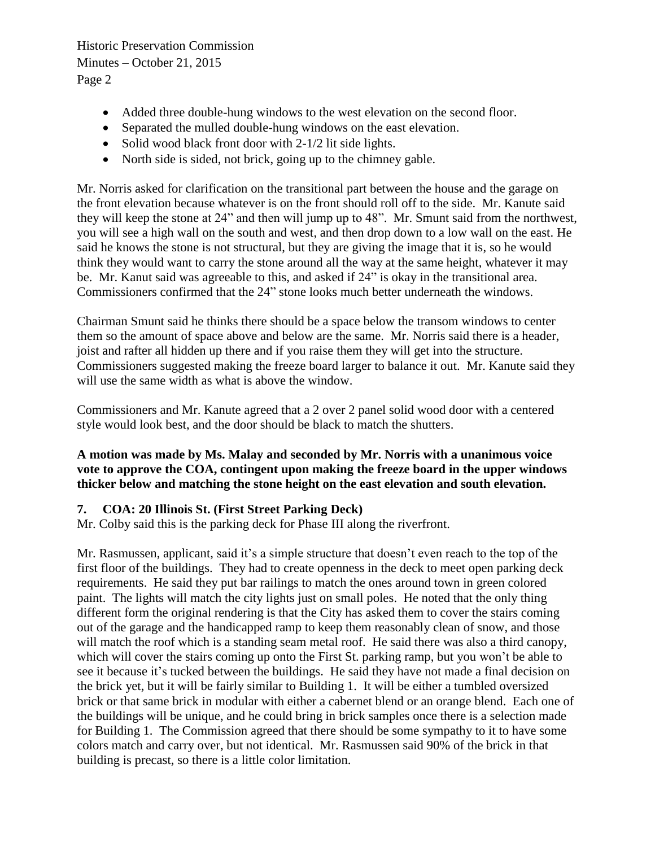- Added three double-hung windows to the west elevation on the second floor.
- Separated the mulled double-hung windows on the east elevation.
- Solid wood black front door with  $2-1/2$  lit side lights.
- North side is sided, not brick, going up to the chimney gable.

Mr. Norris asked for clarification on the transitional part between the house and the garage on the front elevation because whatever is on the front should roll off to the side. Mr. Kanute said they will keep the stone at 24" and then will jump up to 48". Mr. Smunt said from the northwest, you will see a high wall on the south and west, and then drop down to a low wall on the east. He said he knows the stone is not structural, but they are giving the image that it is, so he would think they would want to carry the stone around all the way at the same height, whatever it may be. Mr. Kanut said was agreeable to this, and asked if 24" is okay in the transitional area. Commissioners confirmed that the 24" stone looks much better underneath the windows.

Chairman Smunt said he thinks there should be a space below the transom windows to center them so the amount of space above and below are the same. Mr. Norris said there is a header, joist and rafter all hidden up there and if you raise them they will get into the structure. Commissioners suggested making the freeze board larger to balance it out. Mr. Kanute said they will use the same width as what is above the window.

Commissioners and Mr. Kanute agreed that a 2 over 2 panel solid wood door with a centered style would look best, and the door should be black to match the shutters.

## **A motion was made by Ms. Malay and seconded by Mr. Norris with a unanimous voice vote to approve the COA, contingent upon making the freeze board in the upper windows thicker below and matching the stone height on the east elevation and south elevation.**

## **7. COA: 20 Illinois St. (First Street Parking Deck)**

Mr. Colby said this is the parking deck for Phase III along the riverfront.

Mr. Rasmussen, applicant, said it's a simple structure that doesn't even reach to the top of the first floor of the buildings. They had to create openness in the deck to meet open parking deck requirements. He said they put bar railings to match the ones around town in green colored paint. The lights will match the city lights just on small poles. He noted that the only thing different form the original rendering is that the City has asked them to cover the stairs coming out of the garage and the handicapped ramp to keep them reasonably clean of snow, and those will match the roof which is a standing seam metal roof. He said there was also a third canopy, which will cover the stairs coming up onto the First St. parking ramp, but you won't be able to see it because it's tucked between the buildings. He said they have not made a final decision on the brick yet, but it will be fairly similar to Building 1. It will be either a tumbled oversized brick or that same brick in modular with either a cabernet blend or an orange blend. Each one of the buildings will be unique, and he could bring in brick samples once there is a selection made for Building 1. The Commission agreed that there should be some sympathy to it to have some colors match and carry over, but not identical. Mr. Rasmussen said 90% of the brick in that building is precast, so there is a little color limitation.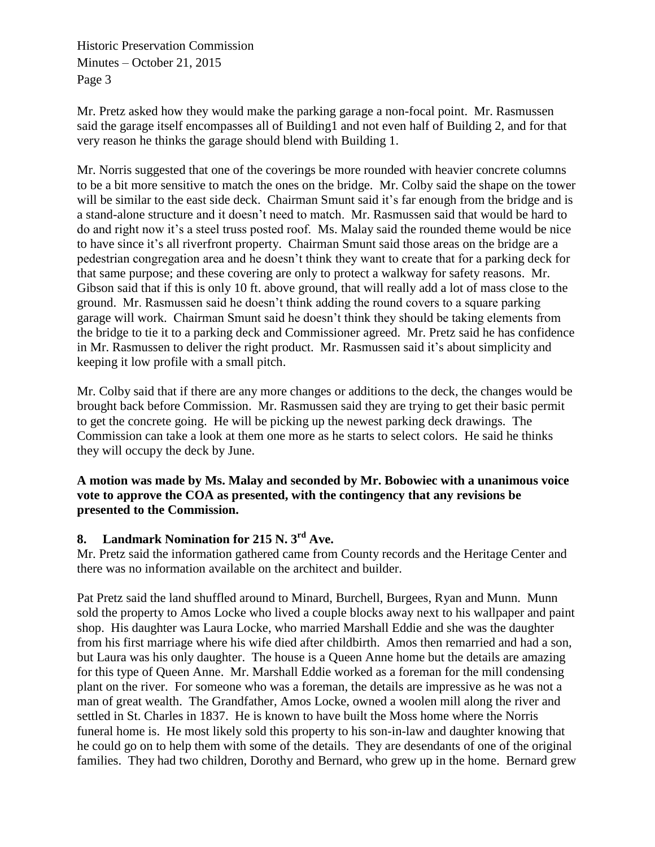Mr. Pretz asked how they would make the parking garage a non-focal point. Mr. Rasmussen said the garage itself encompasses all of Building1 and not even half of Building 2, and for that very reason he thinks the garage should blend with Building 1.

Mr. Norris suggested that one of the coverings be more rounded with heavier concrete columns to be a bit more sensitive to match the ones on the bridge. Mr. Colby said the shape on the tower will be similar to the east side deck. Chairman Smunt said it's far enough from the bridge and is a stand-alone structure and it doesn't need to match. Mr. Rasmussen said that would be hard to do and right now it's a steel truss posted roof. Ms. Malay said the rounded theme would be nice to have since it's all riverfront property. Chairman Smunt said those areas on the bridge are a pedestrian congregation area and he doesn't think they want to create that for a parking deck for that same purpose; and these covering are only to protect a walkway for safety reasons. Mr. Gibson said that if this is only 10 ft. above ground, that will really add a lot of mass close to the ground. Mr. Rasmussen said he doesn't think adding the round covers to a square parking garage will work. Chairman Smunt said he doesn't think they should be taking elements from the bridge to tie it to a parking deck and Commissioner agreed. Mr. Pretz said he has confidence in Mr. Rasmussen to deliver the right product. Mr. Rasmussen said it's about simplicity and keeping it low profile with a small pitch.

Mr. Colby said that if there are any more changes or additions to the deck, the changes would be brought back before Commission. Mr. Rasmussen said they are trying to get their basic permit to get the concrete going. He will be picking up the newest parking deck drawings. The Commission can take a look at them one more as he starts to select colors. He said he thinks they will occupy the deck by June.

## **A motion was made by Ms. Malay and seconded by Mr. Bobowiec with a unanimous voice vote to approve the COA as presented, with the contingency that any revisions be presented to the Commission.**

# **8. Landmark Nomination for 215 N. 3rd Ave.**

Mr. Pretz said the information gathered came from County records and the Heritage Center and there was no information available on the architect and builder.

Pat Pretz said the land shuffled around to Minard, Burchell, Burgees, Ryan and Munn. Munn sold the property to Amos Locke who lived a couple blocks away next to his wallpaper and paint shop. His daughter was Laura Locke, who married Marshall Eddie and she was the daughter from his first marriage where his wife died after childbirth. Amos then remarried and had a son, but Laura was his only daughter. The house is a Queen Anne home but the details are amazing for this type of Queen Anne. Mr. Marshall Eddie worked as a foreman for the mill condensing plant on the river. For someone who was a foreman, the details are impressive as he was not a man of great wealth. The Grandfather, Amos Locke, owned a woolen mill along the river and settled in St. Charles in 1837. He is known to have built the Moss home where the Norris funeral home is. He most likely sold this property to his son-in-law and daughter knowing that he could go on to help them with some of the details. They are desendants of one of the original families. They had two children, Dorothy and Bernard, who grew up in the home. Bernard grew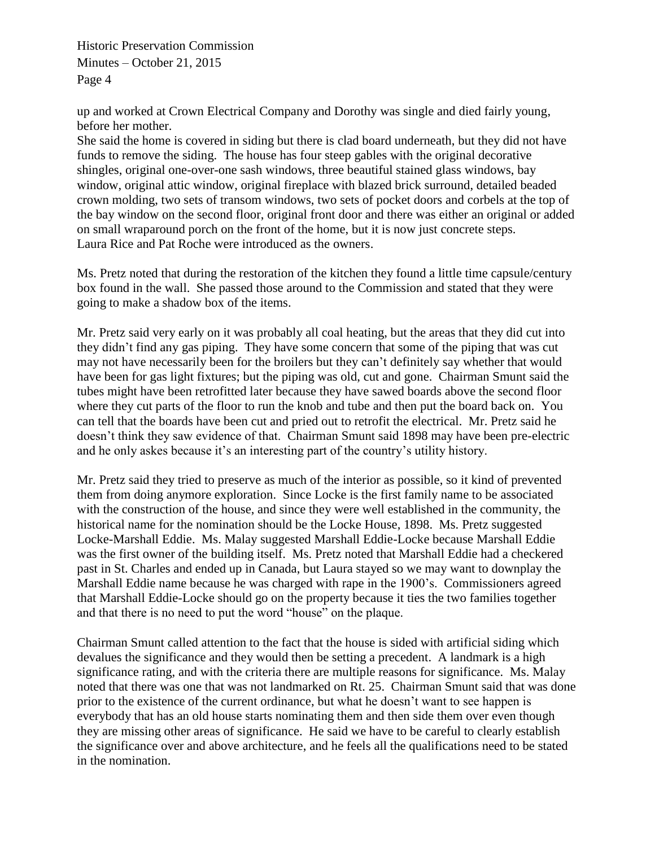up and worked at Crown Electrical Company and Dorothy was single and died fairly young, before her mother.

She said the home is covered in siding but there is clad board underneath, but they did not have funds to remove the siding. The house has four steep gables with the original decorative shingles, original one-over-one sash windows, three beautiful stained glass windows, bay window, original attic window, original fireplace with blazed brick surround, detailed beaded crown molding, two sets of transom windows, two sets of pocket doors and corbels at the top of the bay window on the second floor, original front door and there was either an original or added on small wraparound porch on the front of the home, but it is now just concrete steps. Laura Rice and Pat Roche were introduced as the owners.

Ms. Pretz noted that during the restoration of the kitchen they found a little time capsule/century box found in the wall. She passed those around to the Commission and stated that they were going to make a shadow box of the items.

Mr. Pretz said very early on it was probably all coal heating, but the areas that they did cut into they didn't find any gas piping. They have some concern that some of the piping that was cut may not have necessarily been for the broilers but they can't definitely say whether that would have been for gas light fixtures; but the piping was old, cut and gone. Chairman Smunt said the tubes might have been retrofitted later because they have sawed boards above the second floor where they cut parts of the floor to run the knob and tube and then put the board back on. You can tell that the boards have been cut and pried out to retrofit the electrical. Mr. Pretz said he doesn't think they saw evidence of that. Chairman Smunt said 1898 may have been pre-electric and he only askes because it's an interesting part of the country's utility history.

Mr. Pretz said they tried to preserve as much of the interior as possible, so it kind of prevented them from doing anymore exploration. Since Locke is the first family name to be associated with the construction of the house, and since they were well established in the community, the historical name for the nomination should be the Locke House, 1898. Ms. Pretz suggested Locke-Marshall Eddie. Ms. Malay suggested Marshall Eddie-Locke because Marshall Eddie was the first owner of the building itself. Ms. Pretz noted that Marshall Eddie had a checkered past in St. Charles and ended up in Canada, but Laura stayed so we may want to downplay the Marshall Eddie name because he was charged with rape in the 1900's. Commissioners agreed that Marshall Eddie-Locke should go on the property because it ties the two families together and that there is no need to put the word "house" on the plaque.

Chairman Smunt called attention to the fact that the house is sided with artificial siding which devalues the significance and they would then be setting a precedent. A landmark is a high significance rating, and with the criteria there are multiple reasons for significance. Ms. Malay noted that there was one that was not landmarked on Rt. 25. Chairman Smunt said that was done prior to the existence of the current ordinance, but what he doesn't want to see happen is everybody that has an old house starts nominating them and then side them over even though they are missing other areas of significance. He said we have to be careful to clearly establish the significance over and above architecture, and he feels all the qualifications need to be stated in the nomination.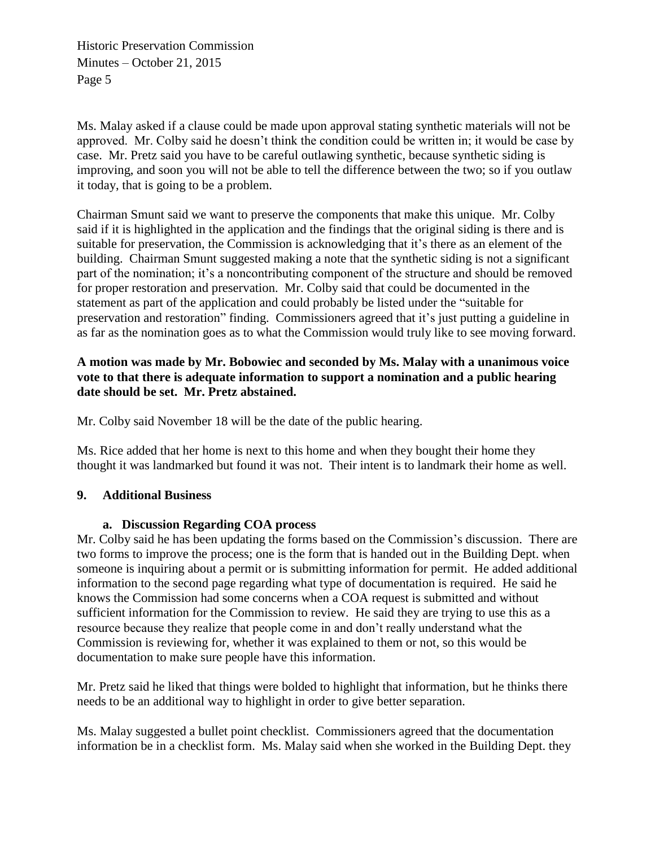Ms. Malay asked if a clause could be made upon approval stating synthetic materials will not be approved. Mr. Colby said he doesn't think the condition could be written in; it would be case by case. Mr. Pretz said you have to be careful outlawing synthetic, because synthetic siding is improving, and soon you will not be able to tell the difference between the two; so if you outlaw it today, that is going to be a problem.

Chairman Smunt said we want to preserve the components that make this unique. Mr. Colby said if it is highlighted in the application and the findings that the original siding is there and is suitable for preservation, the Commission is acknowledging that it's there as an element of the building. Chairman Smunt suggested making a note that the synthetic siding is not a significant part of the nomination; it's a noncontributing component of the structure and should be removed for proper restoration and preservation. Mr. Colby said that could be documented in the statement as part of the application and could probably be listed under the "suitable for preservation and restoration" finding. Commissioners agreed that it's just putting a guideline in as far as the nomination goes as to what the Commission would truly like to see moving forward.

## **A motion was made by Mr. Bobowiec and seconded by Ms. Malay with a unanimous voice vote to that there is adequate information to support a nomination and a public hearing date should be set. Mr. Pretz abstained.**

Mr. Colby said November 18 will be the date of the public hearing.

Ms. Rice added that her home is next to this home and when they bought their home they thought it was landmarked but found it was not. Their intent is to landmark their home as well.

## **9. Additional Business**

#### **a. Discussion Regarding COA process**

Mr. Colby said he has been updating the forms based on the Commission's discussion. There are two forms to improve the process; one is the form that is handed out in the Building Dept. when someone is inquiring about a permit or is submitting information for permit. He added additional information to the second page regarding what type of documentation is required. He said he knows the Commission had some concerns when a COA request is submitted and without sufficient information for the Commission to review. He said they are trying to use this as a resource because they realize that people come in and don't really understand what the Commission is reviewing for, whether it was explained to them or not, so this would be documentation to make sure people have this information.

Mr. Pretz said he liked that things were bolded to highlight that information, but he thinks there needs to be an additional way to highlight in order to give better separation.

Ms. Malay suggested a bullet point checklist. Commissioners agreed that the documentation information be in a checklist form. Ms. Malay said when she worked in the Building Dept. they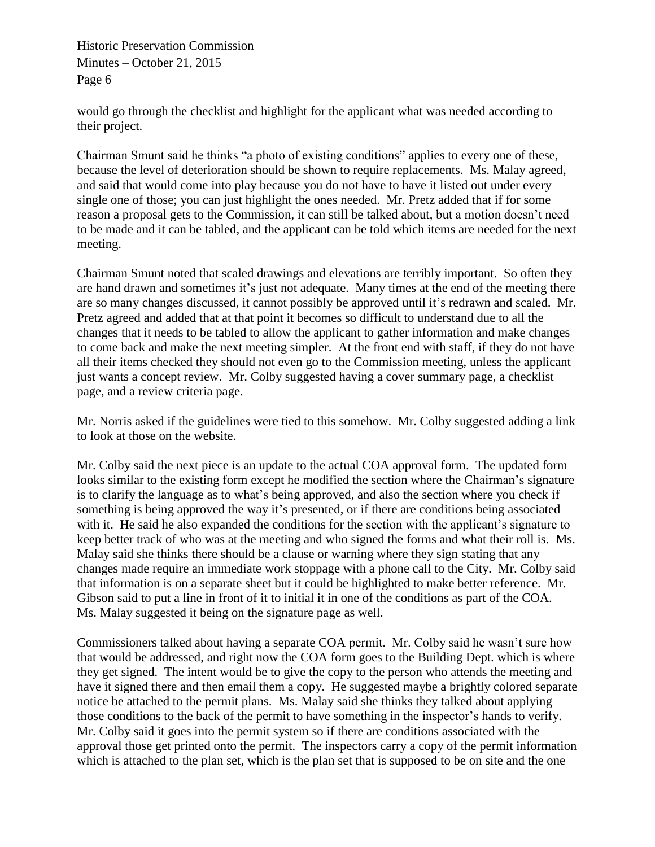would go through the checklist and highlight for the applicant what was needed according to their project.

Chairman Smunt said he thinks "a photo of existing conditions" applies to every one of these, because the level of deterioration should be shown to require replacements. Ms. Malay agreed, and said that would come into play because you do not have to have it listed out under every single one of those; you can just highlight the ones needed. Mr. Pretz added that if for some reason a proposal gets to the Commission, it can still be talked about, but a motion doesn't need to be made and it can be tabled, and the applicant can be told which items are needed for the next meeting.

Chairman Smunt noted that scaled drawings and elevations are terribly important. So often they are hand drawn and sometimes it's just not adequate. Many times at the end of the meeting there are so many changes discussed, it cannot possibly be approved until it's redrawn and scaled. Mr. Pretz agreed and added that at that point it becomes so difficult to understand due to all the changes that it needs to be tabled to allow the applicant to gather information and make changes to come back and make the next meeting simpler. At the front end with staff, if they do not have all their items checked they should not even go to the Commission meeting, unless the applicant just wants a concept review. Mr. Colby suggested having a cover summary page, a checklist page, and a review criteria page.

Mr. Norris asked if the guidelines were tied to this somehow. Mr. Colby suggested adding a link to look at those on the website.

Mr. Colby said the next piece is an update to the actual COA approval form. The updated form looks similar to the existing form except he modified the section where the Chairman's signature is to clarify the language as to what's being approved, and also the section where you check if something is being approved the way it's presented, or if there are conditions being associated with it. He said he also expanded the conditions for the section with the applicant's signature to keep better track of who was at the meeting and who signed the forms and what their roll is. Ms. Malay said she thinks there should be a clause or warning where they sign stating that any changes made require an immediate work stoppage with a phone call to the City. Mr. Colby said that information is on a separate sheet but it could be highlighted to make better reference. Mr. Gibson said to put a line in front of it to initial it in one of the conditions as part of the COA. Ms. Malay suggested it being on the signature page as well.

Commissioners talked about having a separate COA permit. Mr. Colby said he wasn't sure how that would be addressed, and right now the COA form goes to the Building Dept. which is where they get signed. The intent would be to give the copy to the person who attends the meeting and have it signed there and then email them a copy. He suggested maybe a brightly colored separate notice be attached to the permit plans. Ms. Malay said she thinks they talked about applying those conditions to the back of the permit to have something in the inspector's hands to verify. Mr. Colby said it goes into the permit system so if there are conditions associated with the approval those get printed onto the permit. The inspectors carry a copy of the permit information which is attached to the plan set, which is the plan set that is supposed to be on site and the one